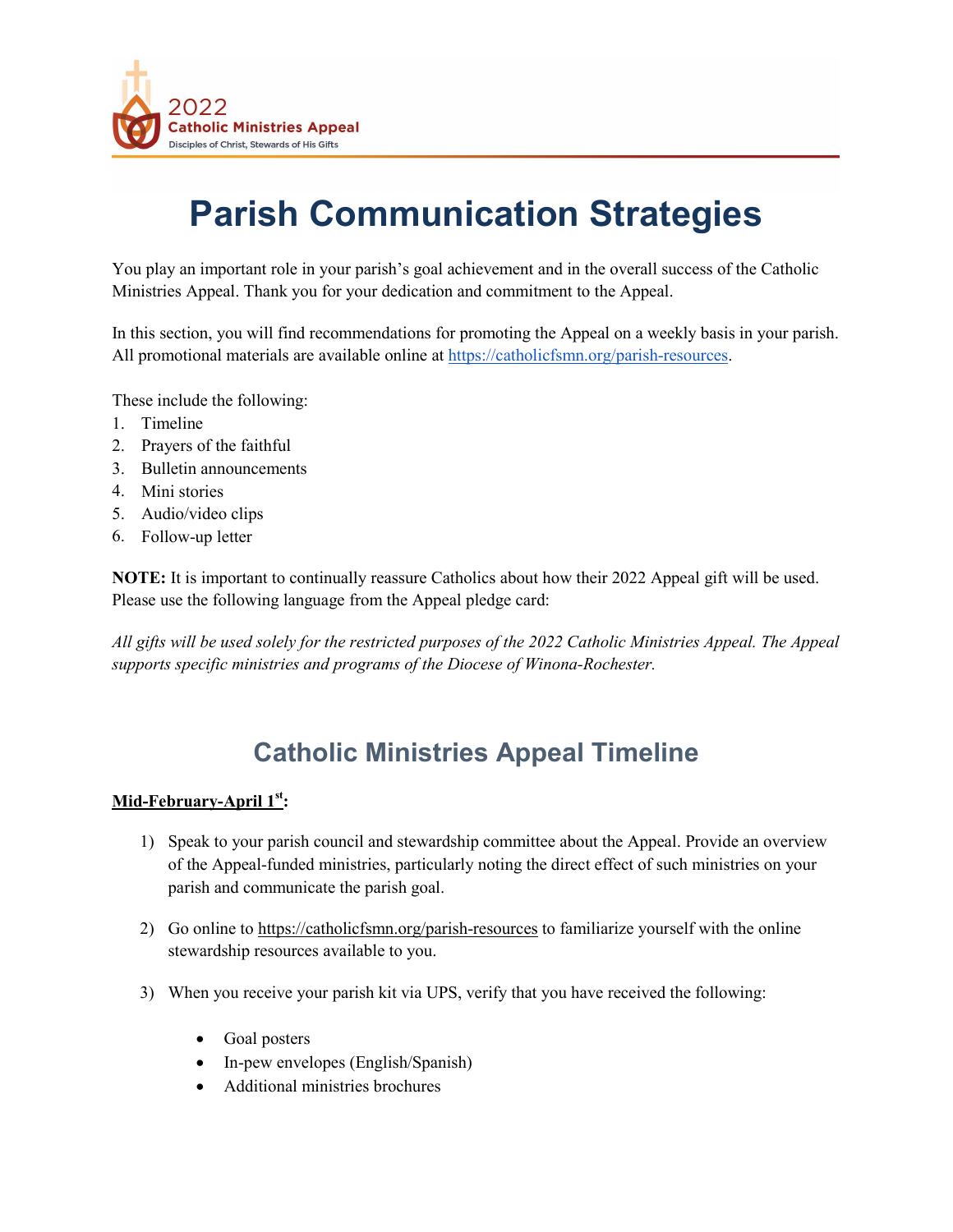

# **Parish Communication Strategies**

You play an important role in your parish's goal achievement and in the overall success of the Catholic Ministries Appeal. Thank you for your dedication and commitment to the Appeal.

In this section, you will find recommendations for promoting the Appeal on a weekly basis in your parish. All promotional materials are available online a[t](https://catholicfsmn.org/parish-resources) [https://catholicfsmn.org/parish-resources.](https://catholicfsmn.org/parish-resources)

These include the following:

- 1. Timeline
- 2. Prayers of the faithful
- 3. Bulletin announcements
- 4. Mini stories
- 5. Audio/video clips
- 6. Follow-up letter

**NOTE:** It is important to continually reassure Catholics about how their 2022 Appeal gift will be used. Please use the following language from the Appeal pledge card:

*All gifts will be used solely for the restricted purposes of the 2022 Catholic Ministries Appeal. The Appeal supports specific ministries and programs of the Diocese of Winona-Rochester.*

# **Catholic Ministries Appeal Timeline**

## **Mid-February-April 1st:**

- 1) Speak to your parish council and stewardship committee about the Appeal. Provide an overview of the Appeal-funded ministries, particularly noting the direct effect of such ministries on your parish and communicate the parish goal.
- 2) Go online to https://catholicfsmn.org/parish-resources to familiarize yourself with the online stewardship resources available to you.
- 3) When you receive your parish kit via UPS, verify that you have received the following:
	- Goal posters
	- In-pew envelopes (English/Spanish)
	- Additional ministries brochures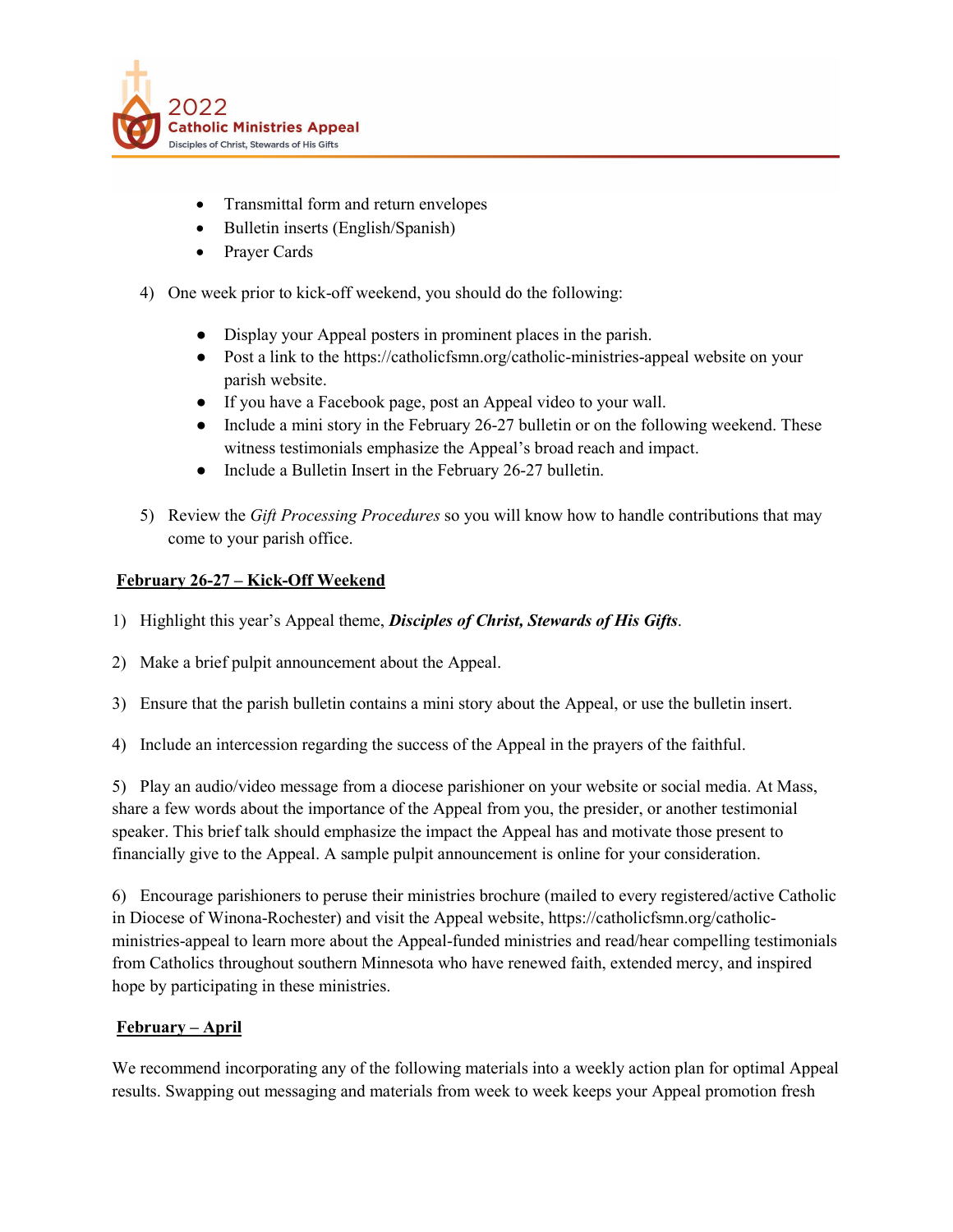

- Transmittal form and return envelopes
- Bulletin inserts (English/Spanish)
- Prayer Cards
- 4) One week prior to kick-off weekend, you should do the following:
	- Display your Appeal posters in prominent places in the parish.
	- Post a link to the https://catholicfsmn.org/catholic-ministries-appeal website on your parish website.
	- If you have a Facebook page, post an Appeal video to your wall.
	- Include a mini story in the February 26-27 bulletin or on the following weekend. These witness testimonials emphasize the Appeal's broad reach and impact.
	- Include a Bulletin Insert in the February 26-27 bulletin.
- 5) Review the *Gift Processing Procedures* so you will know how to handle contributions that may come to your parish office.

#### **February 26-27 – Kick-Off Weekend**

- 1) Highlight this year's Appeal theme, *Disciples of Christ, Stewards of His Gifts*.
- 2) Make a brief pulpit announcement about the Appeal.
- 3) Ensure that the parish bulletin contains a mini story about the Appeal, or use the bulletin insert.
- 4) Include an intercession regarding the success of the Appeal in the prayers of the faithful.

5) Play an audio/video message from a diocese parishioner on your website or social media. At Mass, share a few words about the importance of the Appeal from you, the presider, or another testimonial speaker. This brief talk should emphasize the impact the Appeal has and motivate those present to financially give to the Appeal. A sample pulpit announcement is online for your consideration.

6) Encourage parishioners to peruse their ministries brochure (mailed to every registered/active Catholic in Diocese of Winona-Rochester) and visit the Appeal website, https://catholicfsmn.org/catholicministries-appeal to learn more about the Appeal-funded ministries and read/hear compelling testimonials from Catholics throughout southern Minnesota who have renewed faith, extended mercy, and inspired hope by participating in these ministries.

#### **February – April**

We recommend incorporating any of the following materials into a weekly action plan for optimal Appeal results. Swapping out messaging and materials from week to week keeps your Appeal promotion fresh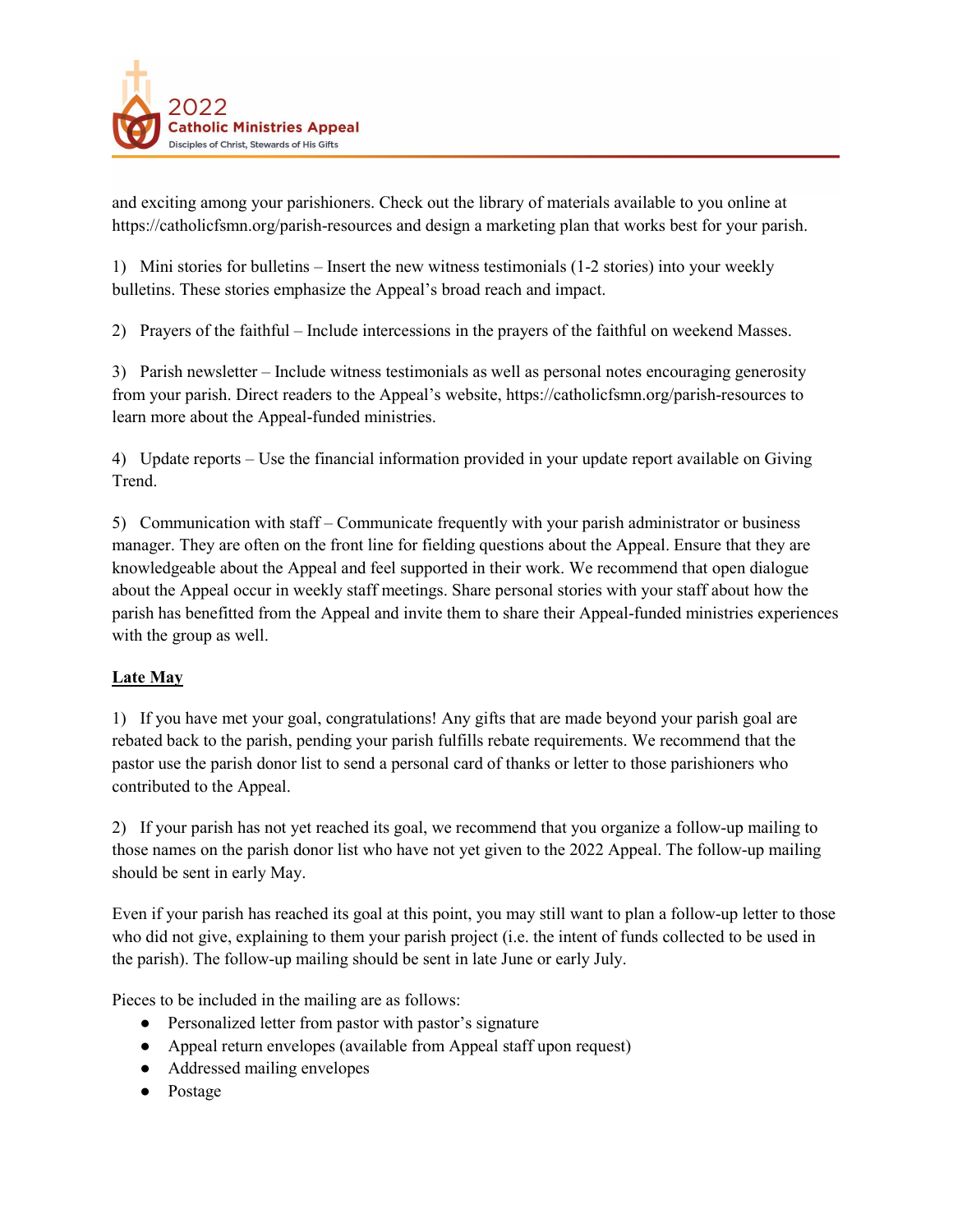

and exciting among your parishioners. Check out the library of materials available to you online at https://catholicfsmn.org/parish-resources and design a marketing plan that works best for your parish.

1) Mini stories for bulletins – Insert the new witness testimonials (1-2 stories) into your weekly bulletins. These stories emphasize the Appeal's broad reach and impact.

2) Prayers of the faithful – Include intercessions in the prayers of the faithful on weekend Masses.

3) Parish newsletter – Include witness testimonials as well as personal notes encouraging generosity from your parish. Direct readers to the Appeal's website, https://catholicfsmn.org/parish-resources to learn more about the Appeal-funded ministries.

4) Update reports – Use the financial information provided in your update report available on Giving Trend.

5) Communication with staff – Communicate frequently with your parish administrator or business manager. They are often on the front line for fielding questions about the Appeal. Ensure that they are knowledgeable about the Appeal and feel supported in their work. We recommend that open dialogue about the Appeal occur in weekly staff meetings. Share personal stories with your staff about how the parish has benefitted from the Appeal and invite them to share their Appeal-funded ministries experiences with the group as well.

# **Late May**

1) If you have met your goal, congratulations! Any gifts that are made beyond your parish goal are rebated back to the parish, pending your parish fulfills rebate requirements. We recommend that the pastor use the parish donor list to send a personal card of thanks or letter to those parishioners who contributed to the Appeal.

2) If your parish has not yet reached its goal, we recommend that you organize a follow-up mailing to those names on the parish donor list who have not yet given to the 2022 Appeal. The follow-up mailing should be sent in early May.

Even if your parish has reached its goal at this point, you may still want to plan a follow-up letter to those who did not give, explaining to them your parish project (i.e. the intent of funds collected to be used in the parish). The follow-up mailing should be sent in late June or early July.

Pieces to be included in the mailing are as follows:

- Personalized letter from pastor with pastor's signature
- Appeal return envelopes (available from Appeal staff upon request)
- Addressed mailing envelopes
- Postage